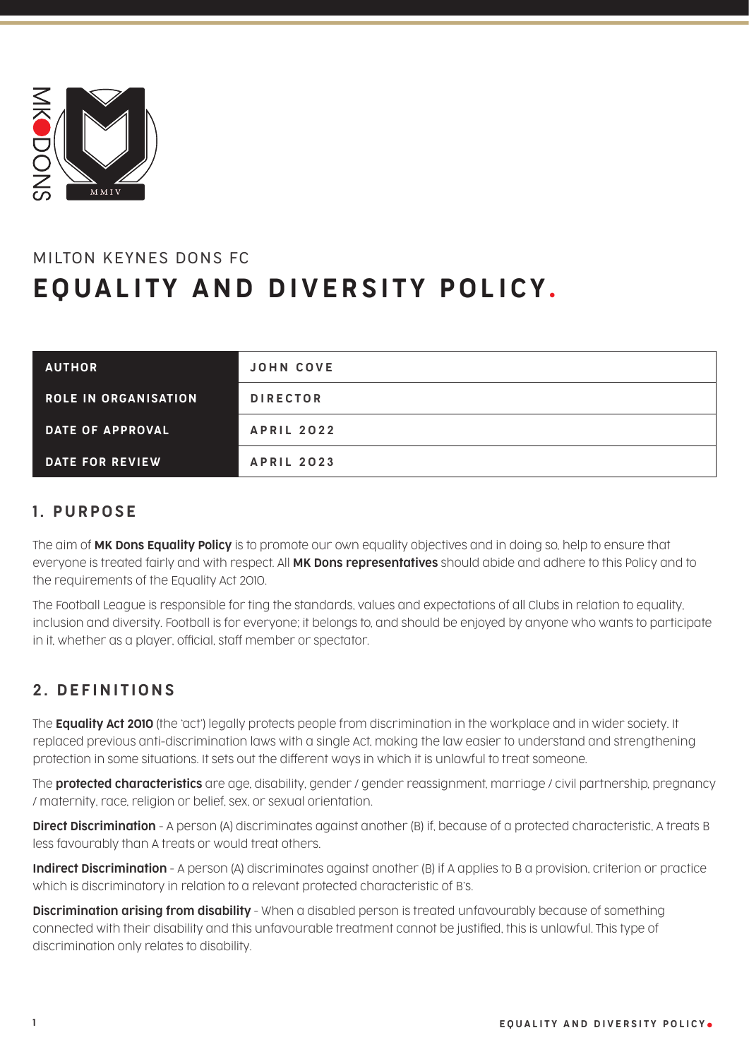

# MILTON KEYNES DONS FC EQUALITY AND DIVERSITY POLICY .

| <b>AUTHOR</b>               | <b>JOHN COVE</b>  |
|-----------------------------|-------------------|
| <b>ROLE IN ORGANISATION</b> | <b>DIRECTOR</b>   |
| <b>DATE OF APPROVAL</b>     | <b>APRIL 2022</b> |
| DATE FOR REVIEW             | <b>APRIL 2023</b> |

### 1. PURPOSE

The aim of MK Dons Equality Policy is to promote our own equality objectives and in doing so, help to ensure that everyone is treated fairly and with respect. All MK Dons representatives should abide and adhere to this Policy and to the requirements of the Equality Act 2010.

The Football League is responsible for ting the standards, values and expectations of all Clubs in relation to equality, inclusion and diversity. Football is for everyone; it belongs to, and should be enjoyed by anyone who wants to participate in it, whether as a player, official, staff member or spectator.

# 2. DEFINITIONS

The **Equality Act 2010** (the 'act') legally protects people from discrimination in the workplace and in wider society. It replaced previous anti-discrimination laws with a single Act, making the law easier to understand and strengthening protection in some situations. It sets out the different ways in which it is unlawful to treat someone.

The **protected characteristics** are age, disability, gender / gender reassignment, marriage / civil partnership, pregnancy / maternity, race, religion or belief, sex, or sexual orientation.

**Direct Discrimination** - A person (A) discriminates against another (B) if, because of a protected characteristic, A treats B less favourably than A treats or would treat others.

Indirect Discrimination - A person (A) discriminates against another (B) if A applies to B a provision, criterion or practice which is discriminatory in relation to a relevant protected characteristic of B's.

**Discrimination arising from disability** - When a disabled person is treated unfavourably because of something connected with their disability and this unfavourable treatment cannot be justified, this is unlawful. This type of discrimination only relates to disability.